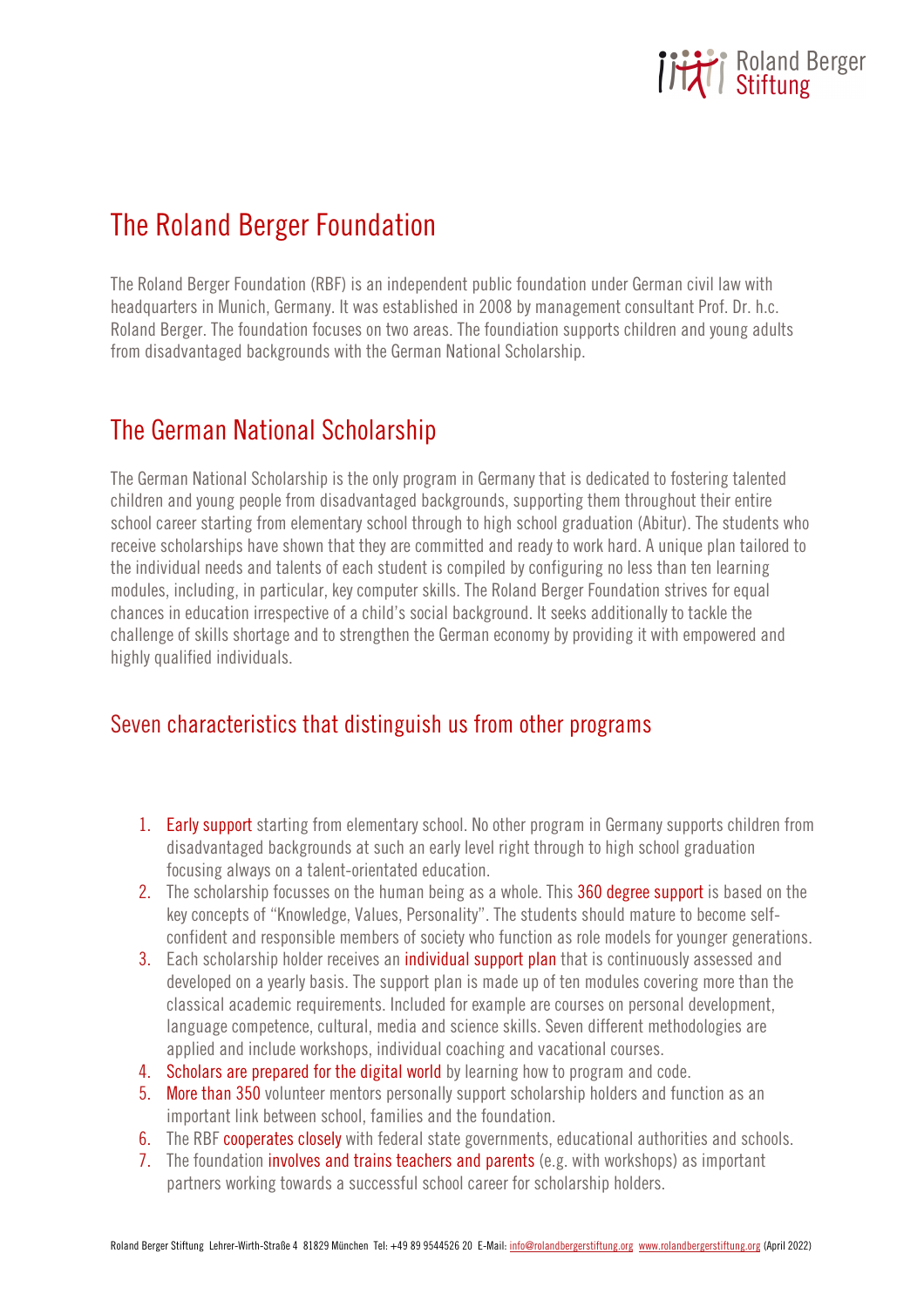

# The Roland Berger Foundation

The Roland Berger Foundation (RBF) is an independent public foundation under German civil law with headquarters in Munich, Germany. It was established in 2008 by management consultant Prof. Dr. h.c. Roland Berger. The foundation focuses on two areas. The foundiation supports children and young adults from disadvantaged backgrounds with the German National Scholarship.

## The German National Scholarship

The German National Scholarship is the only program in Germany that is dedicated to fostering talented children and young people from disadvantaged backgrounds, supporting them throughout their entire school career starting from elementary school through to high school graduation (Abitur). The students who receive scholarships have shown that they are committed and ready to work hard. A unique plan tailored to the individual needs and talents of each student is compiled by configuring no less than ten learning modules, including, in particular, key computer skills. The Roland Berger Foundation strives for equal chances in education irrespective of a child's social background. It seeks additionally to tackle the challenge of skills shortage and to strengthen the German economy by providing it with empowered and highly qualified individuals.

#### Seven characteristics that distinguish us from other programs

- 1. Early support starting from elementary school. No other program in Germany supports children from disadvantaged backgrounds at such an early level right through to high school graduation focusing always on a talent-orientated education.
- 2. The scholarship focusses on the human being as a whole. This 360 degree support is based on the key concepts of "Knowledge, Values, Personality". The students should mature to become selfconfident and responsible members of society who function as role models for younger generations.
- 3. Each scholarship holder receives an individual support plan that is continuously assessed and developed on a yearly basis. The support plan is made up of ten modules covering more than the classical academic requirements. Included for example are courses on personal development, language competence, cultural, media and science skills. Seven different methodologies are applied and include workshops, individual coaching and vacational courses.
- 4. Scholars are prepared for the digital world by learning how to program and code.
- 5. More than 350 volunteer mentors personally support scholarship holders and function as an important link between school, families and the foundation.
- 6. The RBF cooperates closely with federal state governments, educational authorities and schools.
- 7. The foundation involves and trains teachers and parents (e.g. with workshops) as important partners working towards a successful school career for scholarship holders.